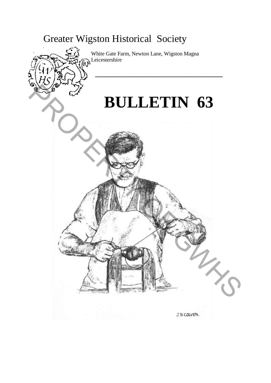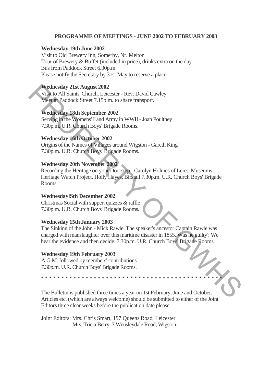## **PROGRAMME OF MEETINGS - JUNE 2002 TO FEBRUARY 2003**

## **Wednesday 19th June 2002**

Visit to Old Brewery Inn, Somerby, Nr. Melton Tour of Brewery & Buffet (included in price), drinks extra on the day Bus from Paddock Street 6.30p.m. Please notify the Secretary by 31st May to reserve a place.

## **Wednesday 21st August 2002**

Visit to All Saints' Church, Leicester - Rev. David Cawley Meet at Paddock Street 7.15p.m. to share transport.

## **Wednesday 18th September 2002**

Serving in the Womens' Land Army in WWII - Joan Poultney 7.30p.m. U.R. Church Boys' Brigade Rooms.

# **Wednesday 16th October 2002**

Origins of the Names of Villages around Wigston - Gareth King 7.30p.m. U.R. Church Boys' Brigade Rooms.

## **Wednesday 20th November 2002**

Recording the Heritage on your Doorstep - Carolyn Holmes of Leics. Museums Heritage Watch Project, Holly Hayes, Birstall 7.30p.m. U.R. Church Boys' Brigade Rooms. Wednesday 21st August 2002<br>
Visit to All Saints' Church, Leiesster- Rev. David Cawley<br>
Visit to All Saints' Church, Leiesster- Rev. David Cawley<br>
Need an Paddock Street 7.15p.m. to share transport.<br>
Prednesday 18th Septem

## **WednesdaylSth December 2002**

Christmas Social with supper, quizzes & raffle 7.30p.m. U.R. Church Boys' Brigade Rooms.

## **Wednesday 15th January 2003**

The Sinking of the John - Mick Rawle. The speaker's ancestor Captain Rawle was charged with manslaughter over this maritime disaster in 1855. Was he guilty? We hear the evidence and then decide. 7.30p.m. U.R. Church Boys' Brigade Rooms.

## **Wednesday 19th February 2003**

A.G.M. followed by members' contributions 7.30p.m. U.R. Church Boys' Brigade Rooms.

The Bulletin is published three times a year on 1st February, June and October. Articles etc. (which are always welcome) should be submitted to either of the Joint Editors three clear weeks before the publication date please.

\* \* \* \* \* \* \* \* \* \* \* \* \* \* \* \* \* \* \* \* \* \* \* \* \* \* \* \* \* \* \* \* \* \* \* \* \* \* \* \* \* \* \* \* \*

Joint Editors: Mrs. Chris Smart, 197 Queens Road, Leicester Mrs. Tricia Berry, 7 Wensleydale Road, Wigston.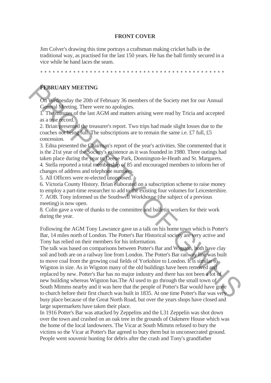## **FRONT COVER**

Jim Colver's drawing this time portrays a craftsman making cricket balls in the traditional way, as practised for the last 150 years. He has the ball firmly secured in a vice while he hand laces the seam.

\* \* \* \* \* \* \* \* \* \* \* \* \* \* \* \* \* \* \* \* \* \* \* \* \* \* \* \* \* \* \* \* \* \* \* \* \* \* \* \* \* \* \* \* \*

## **FEBRUARY MEETING**

On Wednesday the 20th of February 36 members of the Society met for our Annual General Meeting. There were no apologies.

1. The minutes of the last AGM and matters arising were read by Tricia and accepted as a true record.

2. Brian presented the treasurer's report. Two trips had made slight losses due to the coaches not being full. The subscriptions are to remain the same i.e. £7 full, £5 concession.

3. Edna presented the Chairman's report of the year's activities. She commented that it is the 21st year of the Society's existence as it was founded in 1980. Three outings had taken place during the year to Deene Park, Donnington-le-Heath and St. Margarets. 4. Stella reported a total membership of 85 and encouraged members to inform her of changes of address and telephone numbers.

5. All Officers were re-elected unopposed.

6. Victoria County History. Brian elaborated on a subscription scheme to raise money to employ a part-time researcher to add to the existing four volumes for Leicestershire. 7. AOB. Tony informed us the Southwell Workhouse (the subject of a previous meeting) is now open.

8. Colin gave a vote of thanks to the committee and bulletin workers for their work during the year.

Following the AGM Tony Lawrance gave us a talk on his home town which is Potter's Bar, 14 miles north of London. The Potter's Bar Historical society are very active and Tony has relied on their members for his information.

The talk was based on comparisons between Potter's Bar and Wigston, both have clay soil and both are on a railway line from London. The Potter's Bar railway line was built to move coal from the growing coal fields of Yorkshire to London. It is similar to Wigston in size. As in Wigston many of the old buildings have been removed and replaced by new. Potter's Bar has no major industry and there has not been a lot of new building whereas Wigston has.The Al used to go through the small town of South Mimms nearby and it was here that the people of Potter's Bar would have gone to church before their first church was built in 1835. At one time Potter's Bar was very busy place because of the Great North Road, but over the years shops have closed and large supermarkets have taken their place. **FERRUARY MEETING**<br>
On Weitnesday the 20th of February 36 members of the Society met for our Annual Gronto Meeting: There were no apologies.<br>
The minimage of the last AGM and matters arising were read by Tricia and accept

In 1916 Potter's Bar was attacked by Zeppelins and the L31 Zeppelin was shot down over the town and crashed on an oak tree in the grounds of Oakmere House which was the home of the local landowners. The Vicar at South Mimms refused to bury the victims so the Vicar at Potter's Bar agreed to bury them but in unconsecrated ground. People went souvenir hunting for debris after the crash and Tony's grandfather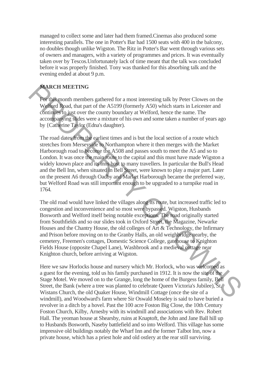managed to collect some and later had them framed.Cinemas also produced some interesting parallels. The one in Potter's Bar had 1500 seats with 400 in the balcony, no doubles though unlike Wigston. The Ritz in Potter's Bar went through various sets of owners and managers, with a variety of programmes and prices. It was eventually taken over by Tescos.Unfortunately lack of time meant that the talk was concluded before it was properly finished. Tony was thanked for this absorbing talk and the evening ended at about 9 p.m.

## **MARCH MEETING**

For this month members gathered for a most interesting talk by Peter Clowes on the Welford Road, that part of the A5199 (formerly A50) which starts in Leicester and continues to just over the county boundary at Welford, hence the name. The accompanying slides were a mixture of his own and some taken a number of years ago by {Catherine Taylor (Edna's daughter).

The road dates from the earliest times and is but the local section of a route which stretches from Merseyside to Northampton where it then merges with the Market Harborough road to become the A508 and passes south to meet the A5 and so to London. It was once the main route to the capital and this must have made Wigston a widely known place and its inns host to many travellers. In particular the Bull's Head and the Bell Inn, when situated in Bell Street, were known to play a major part. Later on the present A6 through Oadby and Market Harborough became the preferred way, but Welford Road was still important enough to be upgraded to a turnpike road in 1764. **MARCH MEETING**<br>
To this month members gathered for a most interesting talk by Peter Clowes on the<br>
Welford Ryad, that part of the A5199 (formerly A50) which starts in Leieester and<br>
whething Ryad, that part of the A5199

The old road would have linked the villages along its route, but increased traffic led to congestion and inconvenience and so most were bypassed. Wigston, Husbands Bosworth and Welford itself being notable exceptions. The road originally started from Southfields and so our slides took in Oxford Street, the Magazine, Newarke Houses and the Chantry House, the old colleges of Art & Technology, the Infirmary and Prison before moving on to the Granby Halls, an old weighbridge nearby, the cemetery, Freemen's cottages, Domestic Science College, gatehouse to Knighton Fields House (opposite Chapel Lane), Washbrook and a medieval cottage near Knighton church, before arriving at Wigston.

Here we saw Horlocks house and nursery which Mr. Horlock, who was welcomed as a guest for the evening, told us his family purchased in 1912. It is now the site of the Stage Motel. We moved on to the Grange, long the home of the Burgess family, Bell Street, the Bank (where a tree was planted to celebrate Queen Victoria's Jubilee), St. Wistans Church, the old Quaker House, Windmill Cottage (once the site of a windmill), and Woodward's farm where Sir Oswald Moseley is said to have buried a revolver in a ditch by a hovel. Past the 100 acre Foston Big Close, the 10th Century Foston Church, Kilby, Arnesby with its windmill and associations with Rev. Robert Hall. The yeoman house at Shearsby, ruins at Knaptoft, the John and Jane Ball hill up to Husbands Bosworth, Naseby battlefield and so into Welford. This village has some impressive old buildings notably the Wharf Inn and the former Talbot Inn, now a private house, which has a priest hole and old ostlery at the rear still surviving.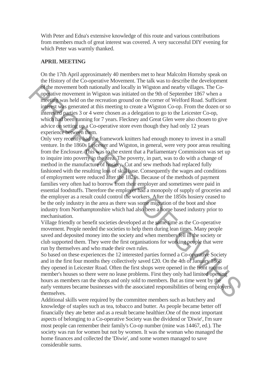With Peter and Edna's extensive knowledge of this route and various contributions from members much of great interest was covered. A very successful DIY evening for which Peter was warmly thanked.

## **APRIL MEETING**

On the 17th April approximately 40 members met to hear Malcolm Hornsby speak on the History of the Co-operative Movement. The talk was to describe the development of the movement both nationally and locally in Wigston and nearby villages. The Cooperative movement in Wigston was initiated on the 9th of September 1867 when a meeting was held on the recreation ground on the corner of Welford Road. Sufficient interest was generated at this meeting to create a Wigston Co-op. From the dozen or so interested parties 3 or 4 were chosen as a delegation to go to the Leicester Co-op, which had been running for 7 years. Fleckney and Great Glen were also chosen to give advice on setting up a Co-operative store even though they had only 12 years experience between them.

Only very recently had the framework knitters had enough money to invest in a small venture. In the 1860s Leicester and Wigston, in general, were very poor areas resulting from the Enclosure. This was to the extent that a Parliamentary Commission was set up to inquire into poverty in the area. The poverty, in part, was to do with a change of method in the manufacture of hosiery. Cut and sew methods had replaced fully fashioned with the resulting loss of skill base. Consequently the wages and conditions of employment were reduced after the 1820s. Because of the methods of payment families very often had to borrow from their employer and sometimes were paid in essential foodstuffs. Therefore the employer had a monopoly of supply of groceries and the employer as a result could control the workers. After the 1850s hosiery ceased to be the only industry in the area as there was some migration of the boot and shoe industry from Northamptonshire which had also been a home based industry prior to mechanisation. The movement both nationally and locally in Wisston and nearly villages. The Co-<br>organity emovement in Wigston was initiated on the Other September 1867 when a<br>meeting was held on the recention ground on the comer of Welf

Village friendly or benefit societies developed at the same time as the Co-operative movement. People needed the societies to help them during lean times. Many people saved and deposited money into the society and when members fell ill the society or club supported them. They were the first organisations for working people that were run by themselves and who made their own rules.

So based on these experiences the 12 interested parties formed a Co-operative Society and in the first four months they collectively saved £20. On the 4th of January 1868 they opened in Leicester Road. Often the first shops were opened in the front rooms of member's houses so there were no lease problems. First they only had limited opening hours as members ran the shops and only sold to members. But as time went by the early ventures became businesses with the associated responsibilities of being employers themselves.

Additional skills were required by the committee members such as butchery and knowledge of staples such as tea, tobacco and butter. As people became better off financially they ate better and as a result became healthier.One of the most important aspects of belonging to a Co-operative Society was the dividend or 'Diwie', I'm sure most people can remember their family's Co-op number (mine was 14467, ed.). The society was run for women but not by women. It was the woman who managed the home finances and collected the 'Diwie', and some women managed to save considerable sums.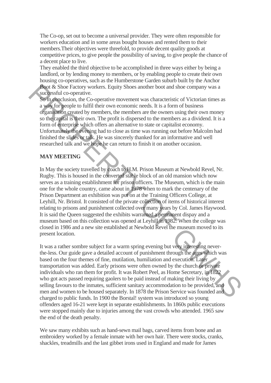The Co-op, set out to become a universal provider. They were often responsible for workers education and in some areas bought houses and rented them to their members.Their objectives were threefold, to provide decent quality goods at competitive prices, to give people the possibility of saving, to give people the chance of a decent place to live.

They enabled the third objective to be accomplished in three ways either by being a landlord, or by lending money to members, or by enabling people to create their own housing co-operatives, such as the Humberstone Garden suburb built by the Anchor Boot & Shoe Factory workers. Equity Shoes another boot and shoe company was a successful co-operative.

So in conclusion, the Co-operative movement was characteristic of Victorian times as a way for people to fulfil their own economic needs. It is a form of business organisation created by members, the members are the owners using their own money so the capital is their own. The profit is dispersed to the members as a dividend. It is a form of enterprise which offers an alternative to state or capitalist economy. Unfortunately the evening had to close as time was running out before Malcolm had finished the slides or talk. He was sincerely thanked for an informative and well researched talk and we hope he can return to finish it on another occasion.

# **MAY MEETING**

In May the society travelled by coach to H.M. Prison Museum at Newbold Revel, Nr. Rugby. This is housed in the converted stable block of an old mansion which now serves as a training establishment for prison officers. The Museum, which is the main one for the whole country, came about in 1978 when to mark the centenary of the Prison Department an exhibition was put on at the Training Officers College, at Leyhill, Nr. Bristol. It consisted of the private collection of items of historical interest relating to prisons and punishment collected over many years by Col. James Haywood. It is said the Queen suggested the exhibits warranted a permanent dispay and a museum based on this collection was opened at Leyhill in 1982. When the college was closed in 1986 and a new site established at Newbold Revel the museum moved to its present location. **Pool** & Shoc Enctory workers. Equity Shocs another boot and shoc company was a<br>success-still co-operative.<br>Some procedure movement was characteristic of Victorian times as<br>a week for propine to fulfil their own comonic n

It was a rather sombre subject for a warm spring evening but very interesting neverthe-less. Our guide gave a detailed account of punishment through the ages which was based on the four themes of fine, mutilation, humiliation and execution. Later transportation was added. Early prisons were often owned by the church or private individuals who ran them for profit. It was Robert Peel, as Home Secretary, in 1822 who got acts passed requiring gaolers to be paid instead of making their living by selling favours to the inmates, sufficient sanitary accommodation to be provided, and men and women to be housed separately. In 1878 the Prison Service was founded and charged to public funds. In 1900 the Borstal! system was introduced so young offenders aged 16-21 were kept in separate establishments. In 1860s public executions were stopped mainly due to injuries among the vast crowds who attended. 1965 saw the end of the death penalty.

We saw many exhibits such as hand-sewn mail bags, carved items from bone and an embroidery worked by a female inmate with her own hair. There were stocks, cranks, shackles, treadmills and the last gibbet irons used in England and made for James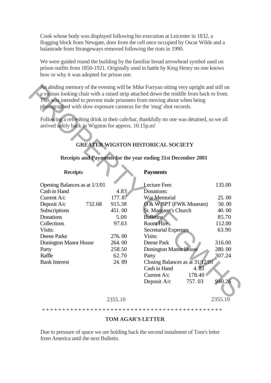Cook whose body was displayed following his execution at Leicester in 1832, a flogging block from Newgate, door from the cell once occupied by Oscar Wilde and a balastrade from Strangeways removed following the riots in 1990.

We were guided round the building by the familiar broad arrowhead symbol used on prison outfits from 1850-1921. Originally used in battle by King Henry no one knows how or why it was adopted for prison use.

# **GREATER WIGSTON HISTORICAL SOCIETY**

## **Receipts and Payments for the year ending 31st December 2001**

#### **Receipts**

# **Payments**

| photographed with slow exposure cameras for the 'mug' shot records. |         | This was intended to prevent male prisoners from moving about when being                  |         |
|---------------------------------------------------------------------|---------|-------------------------------------------------------------------------------------------|---------|
|                                                                     |         | Following a refreshing drink in their cafe/bar, thankfully no one was detained, so we all |         |
| arrived safely back in Wigston for approx. 10.15p.m!                |         |                                                                                           |         |
|                                                                     |         |                                                                                           |         |
|                                                                     |         | <b>GREATER WIGSTON HISTORICAL SOCIETY</b>                                                 |         |
|                                                                     |         | Receipts and Payments for the year ending 31st December 2001                              |         |
| <b>Receipts</b>                                                     |         | <b>Payments</b>                                                                           |         |
| Opening Balances as at 1/1/01                                       |         | <b>Lecture Fees</b>                                                                       | 135.00  |
| Cash in Hand                                                        | 4.83    | Donations:                                                                                |         |
| Current A/c                                                         | 177.87  | War Memorial                                                                              | 25.00   |
| Deposit A/c<br>732.68                                               | 915.38  | O & W BPT (FWK Museum)                                                                    | 50.00   |
| Subscriptions                                                       | 451.00  | St. Margaret's Church                                                                     | 40.00   |
| Donations                                                           | 5.00    | <b>Bulletins</b>                                                                          | 85.70   |
| Collections                                                         | 97.63   | Room Hire                                                                                 | 112.00  |
| Visits:                                                             |         | <b>Secretarial Expenses</b>                                                               | 63.90   |
| Deene Parke                                                         | 276.00  | Visits:                                                                                   |         |
| Donington Manor House                                               | 264.00  | Deene Park                                                                                | 316.00  |
| Party                                                               | 258.50  | <b>Donington Manor House</b>                                                              | 280.00  |
| Raffle                                                              | 62.70   | Party                                                                                     | 307.24  |
| <b>Bank Interest</b>                                                | 24.89   | Closing Balances as at 31/12/01                                                           |         |
|                                                                     |         | Cash in Hand<br>4.83                                                                      |         |
|                                                                     |         | 178.40<br>Current $A/c$                                                                   |         |
|                                                                     |         | Deposit A/c<br>757.03                                                                     | 940.26  |
|                                                                     | 2355.10 |                                                                                           | 2355.10 |

## **TOM AGAR'S LETTER**

Due to pressure of space we are holding back the second instalment of Tom's letter from America until the next Bulletin.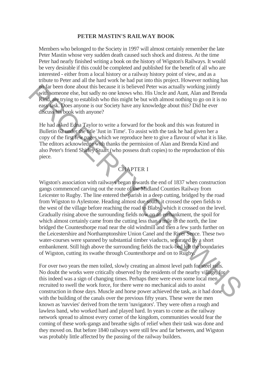## **PETER MASTIN'S RAILWAY BOOK**

Members who belonged to the Society in 1997 will almost certainly remember the late Peter Mastin whose very sudden death caused such shock and distress. At the time Peter had nearly finished writing a book on the history of Wigston's Railways. It would be very desirable if this could be completed and published for the benefit of all who are interested - either from a local history or a railway history point of view, and as a tribute to Peter and all the hard work he had put into this project. However nothing has no far been done about this because it is believed Peter was actually working jointly with someone else, but sadly no one knows who. His Uncle and Aunt, Alan and Brenda Kind, are trying to establish who this might be but with almost nothing to go on it is no easy task. Does anyone is our Society have any knowledge about this? Did he ever discuss his book with anyone?

He had asked Edna Taylor to write a forward for the book and this was featured in Bulletin 62 under the title 'Just in Time'. To assist with the task he had given her a copy of the first few pages which we reproduce here to give a flavour of what it is like. The editors acknowledge with thanks the permission of Alan and Brenda Kind and also Peter's friend Shirley Stuart (who possess draft copies) to the reproduction of this piece.

# CHAPTER I

Wigston's association with railways began towards the end of 1837 when construction gangs commenced carving out the route of the Midland Counties Railway from Leicester to Rugby. The line entered the parish in a deep cutting, bridged by the road from Wigston to Aylestone. Heading almost due south, it crossed the open fields to the west of the village before reaching the road to Blaby, which it crossed on the level. Gradually rising above the surrounding fields now on an embankment, the spoil for which almost certainly came from the cutting less than a mile to the north, the line bridged the Countesthorpe road near the old windmill and then a few yards further on the Leicestershire and Northamptonshire Union Canel and the River Sence. These two water-courses were spanned by substantial timber viaducts, separated by a short embankment. Still high above the surrounding fields the track-bed left the boundaries of Wigston, cutting its swathe through Countesthorpe and on to Rugby. To far been done about this because it is believed Pete was actually worting jointly<br>or this someone else, but sadly no one knows who. His Uncle and Autu, Alan and Brenda<br>Kind, the trying to establish who this might be but

For over two years the men toiled, slowly creating an almost level path for steel rails. No doubt the works were critically observed by the residents of the nearby village, for this indeed was a sign of changing times. Perhaps there were even some local men recruited to swell the work force, for there were no mechanical aids to assist construction in those days. Muscle and horse power achieved the task, as it had done with the building of the canals over the previous fifty years. These were the men known as 'navvies' derived from the term 'navigators'. They were often a rough and lawless band, who worked hard and played hard. In years to come as the railway network spread to almost every corner of the kingdom, communities would fear the coming of these work-gangs and breathe sighs of relief when their task was done and they moved on. But before 1840 railways were still few and far between, and Wigston was probably little affected by the passing of the railway builders.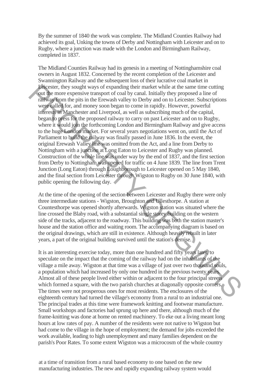By the summer of 1840 the work was complete. The Midland Counties Railway had achieved its goal, Unking the towns of Derby and Nottingham with Leicester and on to Rugby, where a junction was made with the London and Birmingham Railway, completed in 1837.

The Midland Counties Railway had its genesis in a meeting of Nottinghamshire coal owners in August 1832. Concerned by the recent completion of the Leicester and Swannington Railway and the subsequent loss of their lucrative coal market in Leicester, they sought ways of expanding their market while at the same time cutting out the more expensive transport of coal by canal. Initially they proposed a line of railway from the pits in the Erewash valley to Derby and on to Leicester. Subscriptions were called for, and money soon began to come in rapidly. However, powerful interests in Manchester and Liverpool, as well as subscribing much of the capital, began to press for the proposed railway to carry on past Leicester and on to Rugby, where it would join the forthcoming London and Birmingham Railway and give access to the huge London market. For several years negotiations went on, until the Act of Parliament to build the railway was finally passed in June 1836. In the event, the original Erewash Valley line was omitted from the Act, and a line from Derby to Nottingham with a junction at Long Eaton to Leicester and Rugby was planned. Construction of the whole line was under way by the end of 1837, and the first section from Derby to Nottingham was opened for traffic on 4 June 1839. The line from Trent Junction (Long Eaton) through Loughborough to Leicester opened on 5 May 1840, and the final section from Leicester through Wigston to Rugby on 30 June 1840, with public opening the following day. Level est. they sought ways of expanding their market while at the same time culting<br>the more expensive transport of coal by canal. Initially they proposed a line of<br>
radikway from the pits in the Erewahl valley to Derby

At the time of the opening of the section between Leicester and Rugby there were only three intermediate stations - Wigston, Broughton and Ullesthorpe. A station at Countesthorpe was opened shortly afterwards. Wigston station was situated where the line crossed the Blaby road, with a substantial single storey building on the western side of the tracks, adjacent to the roadway. This building was both the station master's house and the station office and waiting room. The accompanying diagram is based on the original drawings, which are still in existence. Although heavily rebuilt in later years, a part of the original building survived until the station's demise.

It is an interesting exercise today, more than one hundred and fifty years later, to speculate on the impact that the coming of the railway had on the inhabitants of the village a mile away. Wigston at that time was a village of just over two thousand souls, a population which had increased by only one hundred in the previous twenty years. Almost all of these people lived either within or adjacent to the four principal streets which formed a square, with the two parish churches at diagonally opposite corners. The times were not prosperous ones for most residents. The enclosures of the eighteenth century had turned the village's economy from a rural to an industrial one. The principal trades at this time were framework knitting and footwear manufacture. Small workshops and factories had sprung up here and there, although much of the frame-knitting was done at home on rented machinery. To eke out a living meant long hours at low rates of pay. A number of the residents were not native to Wigston but had come to the village in the hope of employment; the demand for jobs exceeded the work available, leading to high unemployment and many families dependent on the parish's Poor Rates. To some extent Wigston was a microcosm of the whole country

at a time of transition from a rural based economy to one based on the new manufacturing industries. The new and rapidly expanding railway system would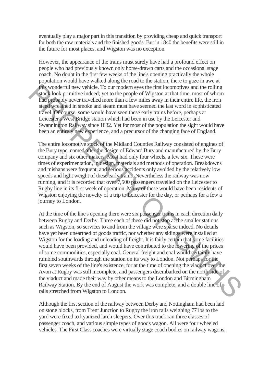eventually play a major part in this transition by providing cheap and quick transport for both the raw materials and the finished goods. But in 1840 the benefits were still in the future for most places, and Wigston was no exception.

However, the appearance of the trains must surely have had a profound effect on people who had previously known only horse-drawn carts and the occasional stage coach. No doubt in the first few weeks of the line's opening practically the whole population would have walked along the road to the station, there to gaze in awe at this wonderful new vehicle. To our modern eyes the first locomotives and the rolling stock look primitive indeed; yet to the people of Wigston at that time, most of whom had probably never travelled more than a few miles away in their entire life, the iron steed wreathed in smoke and steam must have seemed the last word in sophisticated travel. Of course, some would have seen these early trains before, perhaps at Leicester's West Bridge station which had been in use by the Leicester and Swannington Railway since 1832. Yet for most of the population the sight would have been an entirely new experience, and a precursor of the changing face of England.

The entire locomotive stock of the Midland Counties Railway consisted of engines of the Bury type, named after the design of Edward Bury and manufactured by the Bury company and six other makers. Most had only four wheels, a few six. These were times of experimentation, in design, materials and methods of operation. Breakdowns and mishaps were frequent, and serious accidents only avoided by the relatively low speeds and light weight of these early trains. Nevertheless the railway was now running, and it is recorded that over 7,500 passengers travelled on the Leicester to Rugby line in its first week of operation. Many of these would have been residents of Wigston enjoying the novelty of a trip to Leicester for the day, or perhaps for a few a journey to London.

At the time of the line's opening there were six passenger trains in each direction daily between Rugby and Derby. Three each of these did not stop at the smaller stations such as Wigston, so services to and from the village were sparse indeed. No details have yet been unearthed of goods traffic, nor whether any sidings were installed at Wigston for the loading and unloading of freight. It is fairly certain that some facilities would have been provided, and would have contributed to the lowering of the prices of some commodities, especially coal. General freight and coal would certainly have rumbled southwards through the station on its way to London. Not perhaps for the first seven weeks of the line's existence, for at the time of opening the viaduct over the Avon at Rugby was still incomplete, and passengers disembarked on the north side of the viaduct and made their way by other means to the London and Birmingham Railway Station. By the end of August the work was complete, and a double line of rails stretched from Wigston to London. **F** is wonderful new vehicle. To our modem eyes the first locomotives and the rolling<br>tices of colonic probably never travelled more than a few miles away in their emire life, the iron<br>state of websity are travelled more

Although the first section of the railway between Derby and Nottingham had been laid on stone blocks, from Trent Junction to Rugby the iron rails weighing 771bs to the yard were fixed to kyanized larch sleepers. Over this track ran three classes of passenger coach, and various simple types of goods wagon. All were four wheeled vehicles. The First Class coaches were virtually stage coach bodies on railway wagons,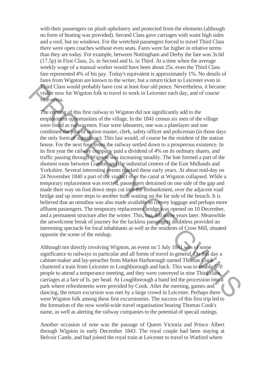with their passengers on plush upholstery and protected from the elements (although no form of heating was provided). Second Class gave carriages with waist high sides and a roof, but no windows. For the wretched passengers forced to travel Third Class there were open coaches without even seats. Fares were far higher in relative terms than they are today. For example, between Nottingham and Derby the fare was 3s.6d (17.5p) in First Class, 2s. in Second and Is. in Third. At a time when the average weekly wage of a manual worker would have been about 25s. even the Third Class fare represented 4% of his pay. Today's equivalent is approximately 1%. No details of fares from Wigston are known to the writer, but a return ticket to Leicester even in Third Class would probably have cost at least four old pence. Nevertheless, it became viable now for Wigston folk to travel to work in Leicester each day, and of course vice-versa.

The coming of this first railway to Wigston did not significantly add to the employment opportunities of the village. In the 1841 census six men of the village were listed as railwaymen. Four were labourers, one was a platelayer and one combined the jobs of station master, clerk, safety officer and policeman (in those days the only form of signalman). This last would, of course be the resident of the station house. For the next four years the railway settled down to a prosperous existence. In its first year the railway company paid a dividend of 4% on its ordinary shares, and traffic passing through Wigston was increasing steadily. The line formed a part of the shortest route between London and the industrial centres of the East Midlands and Yorkshire. Several interesting events marked these early years. At about mid-day on 24 November 1840 a part of the viaduct over the canal at Wigston collapsed. While a temporary replacement was erected, passengers detrained on one side of the gap and made their way on foot down steps cut into the embankment, over the adjacent road bridge and up more steps to another train waiting on the far side of the breach. It is believed that an omnibus was also made available to convey luggage and perhaps more affluent passengers. The temporary replacement bridge was opened on 10 December, and a permanent structure after the winter. This, too, fell some years later. Meanwhile the unwelcome break of journey for the luckless passengers doubtless provided an interesting spectacle for local inhabitants as well as the residents of Crow Mill, situated opposite the scene of the mishap. Full Class would probably have cost at least four old pence. Nevertheless, it became<br>viable now for Wigston folk to travel to work in Leicester each day, and of course<br>viable now for Wigston folk to travel to work in Leic

Although not directly involving Wigston, an event on 5 July 1841 was of some significance to railways in particular and all forms of travel in general. On this day a cabinet-maker and lay-preacher from Market Harborough named Thomas Cook chartered a train from Leicester to Loughborough and back. This was to enable 570 people to attend a temperance meeting, and they were conveyed in nine Third class carriages at a fare of Is. per head. At Loughborough a band led the procession into a park where refreshments were provided by Cook. After the meeting, games and dancing, the return excursion was met by a large crowd in Leicester. Perhaps there were Wigston folk among these first excursionists. The success of this first trip led to the formation of the now world-wide travel organisation bearing Thomas Cook's name, as well as alerting the railway companies to the potential of specail outings.

Another occasion of note was the passage of Queen Victoria and Prince Albert through Wigston in early December 1843. The royal couple had been staying at Belvoir Castle, and had joined the royal train at Leicester to travel to Watford where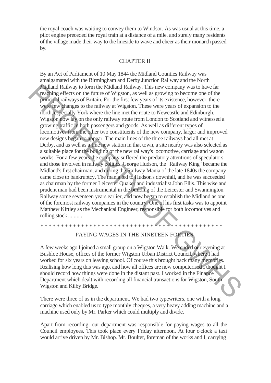the royal coach was waiting to convey them to Windsor. As was usual at this time, a pilot engine preceded the royal train at a distance of a mile, and surely many residents of the village made their way to the lineside to wave and cheer as their monarch passed by.

#### CHAPTER II

By an Act of Parliament of 10 May 1844 the Midland Counties Railway was amalgamated with the Birmingham and Derby Junction Railway and the North Midland Railway to form the Midland Railway. This new company was to have far reaching effects on the future of Wigston, as well as growing to become one of the principal railways of Britain. For the first few years of its existence, however, there were few changes to the railway at Wigston. These were years of expansion to the north, especially York where the line met the route to Newcastle and Edinburgh. Wigston now lay on the only railway route from London to Scotland and witnessed a growing traffic in both passengers and goods. As well as different types of locomotives from the other two constituents of the new company, larger and improved new designs began to appear. The main lines of the three railways had all met at Derby, and as well as a fine new station in that town, a site nearby was also selected as a suitable place for the building of the new railway's locomotive, carriage and wagon works. For a few years the company suffered the predatory attentions of speculators and those involved in railway politics. George Hudson, the "Railway King" became the Midland's first chairman, and during the Railway Mania of the late 1840s the company came close to bankruptcy. The mania led to Hudson's downfall, and he was succeeded as chairman by the former Leicester Quaker and industrialist John Ellis. This wise and prudent man had been instrumental in the building of the Leicester and Swannington Railway some seventeen years earlier, and now began to establish the Midland as one of the foremost railway companies in the country. One of his first tasks was to appoint Matthew Kirtley as the Mechanical Engineer, responsible for both locomotives and rolling stock .......... Whiland Railway to form the Midland Railway. This new company was to have far<br>exacting effects on the future of Wigston, as well as growing to become one of the<br>principal railways of Britain. For the first few years of it

#### PAYING WAGES IN THE NINETEEN FORTIES

\* \* \* \* \* \* \* \* \* \* \* \* \* \* \* \* \* \* \* \* \* \* \* \* \* \* \* \* \* \* \* \* \* \* \* \* \* \* \* \* \* \* \* \* \*

A few weeks ago I joined a small group on a Wigston Walk. We ended our evening at Bushloe House, offices of the former Wigston Urban District Council, where I had worked for six years on leaving school. Of course this brought back many memories. Realising how long this was ago, and how all offices are now computerised I thought I should record how things were done in the distant past. I worked in the Finance Department which dealt with recording all financial transactions for Wigston, South Wigston and Kilby Bridge.

There were three of us in the department. We had two typewriters, one with a long carriage which enabled us to type monthly cheques, a very heavy adding machine and a machine used only by Mr. Parker which could multiply and divide.

Apart from recording, our department was responsible for paying wages to all the Council employees. This took place every Friday afternoon. At four o'clock a taxi would arrive driven by Mr. Bishop. Mr. Boulter, foreman of the works and I, carrying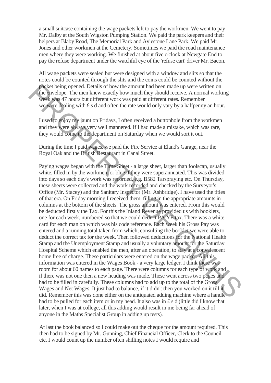a small suitcase containing the wage packets left to pay the workmen. We went to pay Mr. Dalby at the South Wigston Pumping Station. We paid the park keepers and their helpers at Blaby Road, The Memorial Park and Aylestone Lane Park. We paid Mr. Jones and other workmen at the Cemetery. Sometimes we paid the road maintenance men where they were working. We finished at about five o'clock at Newgate End to pay the refuse department under the watchful eye of the 'refuse cart' driver Mr. Bacon.

All wage packets were sealed but were designed with a window and slits so that the notes could be counted through the slits and the coins could be counted without the packet being opened. Details of how the amount had been made up were written on the envelope. The men knew exactly how much they should receive. A normal working week was 47 hours but different work was paid at different rates. Remember we were dealing with  $\pounds s$  d and often the rate would only vary by a halfpenny an hour.

I used to enjoy my jaunt on Fridays, I often received a buttonhole from the workmen and they were always very well mannered. If I had made a mistake, which was rare, they would come to the department on Saturday when we would sort it out.

.

During the time I paid wages, we paid the Fire Service at Eland's Garage, near the Royal Oak and the British Restaurant in Canal Street.

Paying wages began with the Time Sheet - a large sheet, larger than foolscap, usually white, filled in by the workmen, or blue if they were superannuated. This was divided into days so each day's work was recorded, e.g. B582 Tarspraying etc. On Thursday, these sheets were collected and the work recorded and checked by the Surveyor's Office (Mr. Stacey) and the Sanitary Inspector (Mr. Ashbridge), I have used the titles of that era. On Friday morning I received them, filling in the appropriate amounts in columns at the bottom of the sheets. The gross amount was entered. From this would be deducted firstly the Tax. For this the Inland Revenue provided us with booklets, one for each week, numbered so that we could deduct PA YE tax. There was a white card for each man on which was his code reference. Each week his Gross Pay was entered and a running total taken from which, consulting the booklet we were able to deduct the correct tax for the week. Then followed deductions for the National Health Stamp and the Unemployment Stamp and usually a voluntary amount for the Saturday Hospital Scheme which enabled the men, after an operation, to stay at a convalescent home free of charge. These particulars were entered on the wage packet. All this information was entered in the Wages Book - a very large ledger. I think there was room for about 60 names to each page. There were columns for each type of work and if there was not one then a new heading was made. These went across two pages and had to be filled in carefully. These columns had to add up to the total of the Gross Wages and Net Wages. It just had to balance, if it didn't then you worked on it till it did. Remember this was done either on the antiquated adding machine where a handle had to be pulled for each item or in my head. It also was in £ s d (little did I know that later, when I was at college, all this adding would result in me being far ahead of anyone in the Maths Specialist Group in adding up tests). decele being opened. Details of how the amount had been made up were written on<br>the average of the maximum and working week some all more than the system of the average of the maximum state. The mean know that the system o

At last the book balanced so I could make out the cheque for the amount required. This then had to be signed by Mr. Gunning, Chief Financial Officer, Clerk to the Council etc. I would count up the number often shilling notes I would require and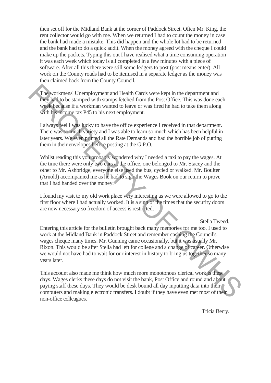then set off for the Midland Bank at the corner of Paddock Street. Often Mr. King, the rent collector would go with me. When we returned I had to count the money in case the bank had made a mistake. This did happen and the whole lot had to be returned and the bank had to do a quick audit. When the money agreed with the cheque I could make up the packets. Typing this out I have realised what a time consuming operation it was each week which today is all completed in a few minutes with a piece of software. After all this there were still some ledgers to post (post means enter). All work on the County roads had to be itemised in a separate ledger as the money was then claimed back from the County Council.

The workmens' Unemployment and Health Cards were kept in the department and they had to be stamped with stamps fetched from the Post Office. This was done each week because if a workman wanted to leave or was fired he had to take them along with his income tax P45 to his next employment.

I always feel I was lucky to have the office experience I received in that department. There was so much variety and I was able to learn so much which has been helpful in later years. We even printed all the Rate Demands and had the horrible job of putting them in their envelopes before posting at the G.P.O.

Whilst reading this you probably wondered why I needed a taxi to pay the wages. At the time there were only two cars at the office, one belonged to Mr. Stacey and the other to Mr. Ashbridge, everyone else used the bus, cycled or walked. Mr. Boulter (Arnold) accompanied me as he had to sign the Wages Book on our return to prove that I had handed over the money.

I found my visit to my old work place very interesting as we were allowed to go to the first floor where I had actually worked. It is a sign of the times that the security doors are now necessary so freedom of access is restricted.

Stella Tweed.

Entering this article for the bulletin brought back many memories for me too. I used to work at the Midland Bank in Paddock Street and remember cashing the Council's wages cheque many times. Mr. Gunning came occasionally, but it was usually Mr. Rixon. This would be after Stella had left for college and a change of career. Otherwise we would not have had to wait for our interest in history to bring us together so many years later. The workmens' Uncmployment and Health Cards were kept in the department and<br>they just to be stamped with stamps fetched from the Post Office. This was done each<br>week because if a workman wanted to leave or was fired he had

This account also made me think how much more monotonous clerical work is these days. Wages clerks these days do not visit the bank, Post Office and round and about paying staff these days. They would be desk bound all day inputting data into their computers and making electronic transfers. I doubt if they have even met most of their non-office colleagues.

Tricia Berry.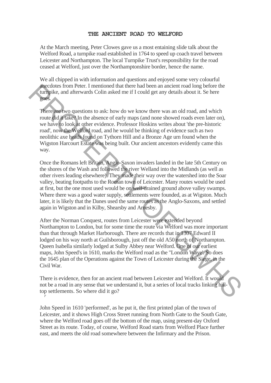## **THE ANCIENT ROAD TO WELFORD**

At the March meeting, Peter Clowes gave us a most entaining slide talk about the Welford Road, a turnpike road established in 1764 to speed up coach travel between Leicester and Northampton. The local Turnpike Trust's responsibility for the road ceased at Welford, just over the Northamptonshire border, hence the name.

We all chipped in with information and questions and enjoyed some very colourful anecdotes from Peter. I mentioned that there had been an ancient road long before the turnpike, and afterwards Colin asked me if I could get any details about it. Se here goes.

There are two questions to ask: how do we know there was an old road, and which route did it take? In the absence of early maps (and none showed roads even later on), we have to look at other evidence. Professor Hoskins writes about 'the pre-historic road', now the Welford road, and he would be thinking of evidence such as two neolithic axe heads found on Tythorn Hill and a Bronze Age urn found when the Wigston Harcourt Estate was being built. Our ancient ancestors evidently came this way.

Once the Romans left Britain, Anglo-Saxon invaders landed in the late 5th Century on the shores of the Wash and followed the river Welland into the Midlands (as well as other rivers leading elsewhere). They made their way over the watershed into the Soar valley, beating footpaths to the Roman town of Leicester. Many routes would be used at first, but the one most used would be on well-drained ground above valley swamps. Where there was a good water supply, settlements were founded, as at Wigston. Much later, it is likely that the Danes used the same routes as the Anglo-Saxons, and settled again in Wigston and in Kilby, Shearsby and Arnesby. decolores from Peer. I mentioned that there had been an ancient road long before the<br>
mapplice, and afterwards Colin asked me if I could get any details about it. Se here<br>
receives two questions to ask: how do we know the

After the Norman Conquest, routes from Leicester were extended beyond Northampton to London, but for some time the route via Welford was more important than that through Market Harborough. There are records that in 1307 Edward II lodged on his way north at Guilsborough, just off the old A50 north of Northampton. Queen Isabella similarly lodged at Sulby Abbey near Welford. One of our earliest maps, John Speed's in 1610, marks the Welford road as the "London Waye'. So does the 1645 plan of the Operations against the Town of Leicester during the Siege, in the Civil War.

There is evidence, then for an ancient road between Leicester and Welford. It would not be a road in any sense that we understand it, but a series of local tracks linking hilltop settlements. So where did it go? *r*

John Speed in 1610 'performed', as he put it, the first printed plan of the town of Leicester, and it shows High Cross Street running from North Gate to the South Gate, where the Welford road goes off the bottom of the map, using present-day Oxford Street as its route. Today, of course, Welford Road starts from Welford Place further east, and meets the old road somewhere between the Infirmary and the Prison.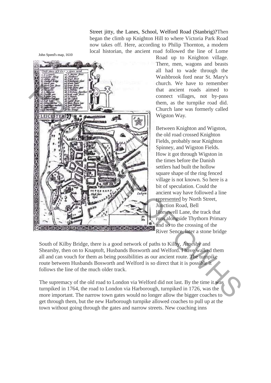Street jitty, the Lanes, School, Welford Road (Stanbrig)?Then began the climb up Knighton Hill to where Victoria Park Road now takes off. Here, according to Philip Thornton, a modern local historian, the ancient road followed the line of Lome

**But Report Constant kfeld k if**  $\frac{1}{2}$ *Soutoy M Gtryp jjjianr Mnuj6je* and a the strengthening of the old road to London via Welford did not last. By the time it was the line of the much strengthening with the strengthening of the old road cosed Knighton Sphere with the strengthening of the c

Road up to Knighton village. There, men, wagons and beasts all had to wade through the Washbrook ford near St. Mary's church. We have to remember that ancient roads aimed to connect villages, not by-pass them, as the turnpike road did. Church lane was formerly called Wigston Way.

Between Knighton and Wigston, the old road crossed Knighton Fields, probably near Knighton Spinney, and Wigston Fields. How it got through Wigston in the times before the Danish settlers had built the hollow square shape of the ring fenced village is not known. So here is a bit of speculation. Could the ancient way have followed a line represented by North Street, Junction Road, Bell Horsewell Lane, the track that runs alongside Thythorn Primary and so to the crossing of the River Sence, later a stone bridge

South of Kilby Bridge, there is a good network of paths to Kilby, Arnesby and Shearsby, then on to Knaptoft, Husbands Bosworth and Welford. I have walked them all and can vouch for them as being possibilities as our ancient route. The turnpike route between Husbands Bosworth and Welford is so direct that it is possible it follows the line of the much older track.

The supremacy of the old road to London via Welford did not last. By the time it was turnpiked in 1764, the road to London via Harborough, turnpiked in 1726, was the more important. The narrow town gates would no longer allow the bigger coaches to get through them, but the new Harborough turnpike allowed coaches to pull up at the town without going through the gates and narrow streets. New coaching inns

John Speed's map, 1610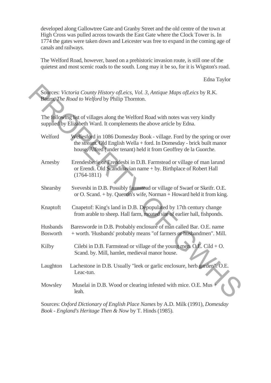developed along Gallowtree Gate and Granby Street and the old centre of the town at High Cross was pulled across towards the East Gate where the Clock Tower is. In 1774 the gates were taken down and Leicester was free to expand in the coming age of canals and railways.

The Welford Road, however, based on a prehistoric invasion route, is still one of the quietest and most scenic roads to the south. Long may it be so, for it is Wigston's road.

Edna Taylor

|                             | Sources: Victoria County History of Leics, Vol. 3, Antique Maps of Leics by R.K.                                                                                                                                     |
|-----------------------------|----------------------------------------------------------------------------------------------------------------------------------------------------------------------------------------------------------------------|
|                             | Baurn, The Road to Welford by Philip Thornton.                                                                                                                                                                       |
|                             |                                                                                                                                                                                                                      |
|                             | The following list of villages along the Welford Road with notes was very kindly<br>supplied by Elizabeth Ward. It complements the above article by Edna.                                                            |
| Welford                     | Wellesford in 1086 Domesday Book - village. Ford by the spring or over<br>the stream. Old English Wella + ford. In Domesday - brick built manor<br>house. Alfred (under tenant) held it from Geoffrey de la Guorche. |
| Arnesby                     | Erendesberie or Erendesbi in D.B. Farmstead or village of man larund<br>or Erendi. Old Scandinavian name + by. Birthplace of Robert Hall<br>$(1764 - 1811)$                                                          |
| Shearsby                    | Svevesbi in D.B. Possibly farmstead or village of Swaef or Skeifr. O.E.<br>or O. Scand. + by. Quentin's wife, Norman + Howard held it from king.                                                                     |
| Knaptoft                    | Cnapetof: King's land in D.B. Depopulated by 17th century change<br>from arable to sheep. Hall farm, moated site of earlier hall, fishponds.                                                                         |
| Husbands<br><b>Bosworth</b> | Baresworde in D.B. Probably enclosure of man called Bar. O.E. name<br>+ worth. 'Husbands' probably means "of farmers or husbandmen". Mill.                                                                           |
| Kilby                       | Cilebi in D.B. Farmstead or village of the young men. O.E. Cild $+$ O.<br>Scand. by. Mill, hamlet, medieval manor house.                                                                                             |
| Laughton                    | Lachestone in D.B. Usually "leek or garlic enclosure, herb garden". O.E.<br>Leac-tun.                                                                                                                                |
| Mowsley                     | Muselai in D.B. Wood or clearing infested with mice. O.E. Mus +<br>leah.                                                                                                                                             |
|                             |                                                                                                                                                                                                                      |

Sources: *Oxford Dictionary of English Place Names* by A.D. Milk (1991), *Domesday Book - England's Heritage Then & Now* by T. Hinds (1985).